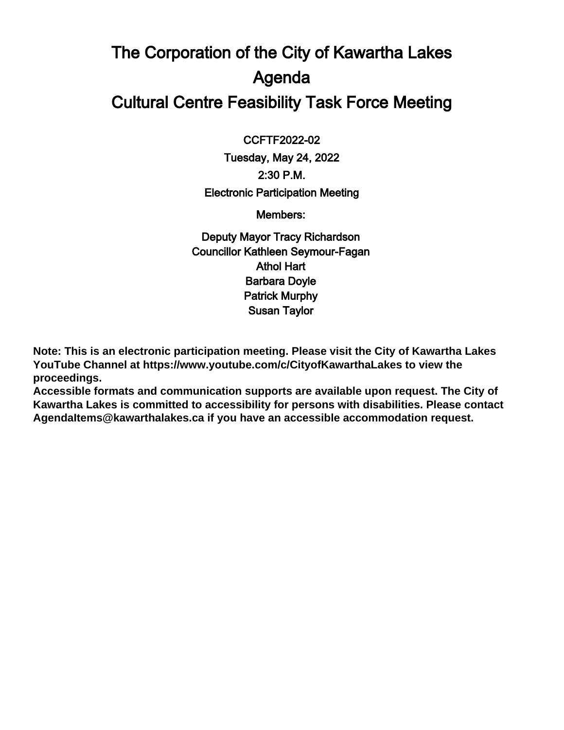## The Corporation of the City of Kawartha Lakes Agenda Cultural Centre Feasibility Task Force Meeting

 $\overline{a}$ CCFTF2022-02

Tuesday, May 24, 2022 2:30 P.M. Electronic Participation Meeting

Members:

Deputy Mayor Tracy Richardson Councillor Kathleen Seymour-Fagan Athol Hart Barbara Doyle Patrick Murphy Susan Taylor

**Note: This is an electronic participation meeting. Please visit the City of Kawartha Lakes YouTube Channel at https://www.youtube.com/c/CityofKawarthaLakes to view the proceedings.**

**Accessible formats and communication supports are available upon request. The City of Kawartha Lakes is committed to accessibility for persons with disabilities. Please contact AgendaItems@kawarthalakes.ca if you have an accessible accommodation request.**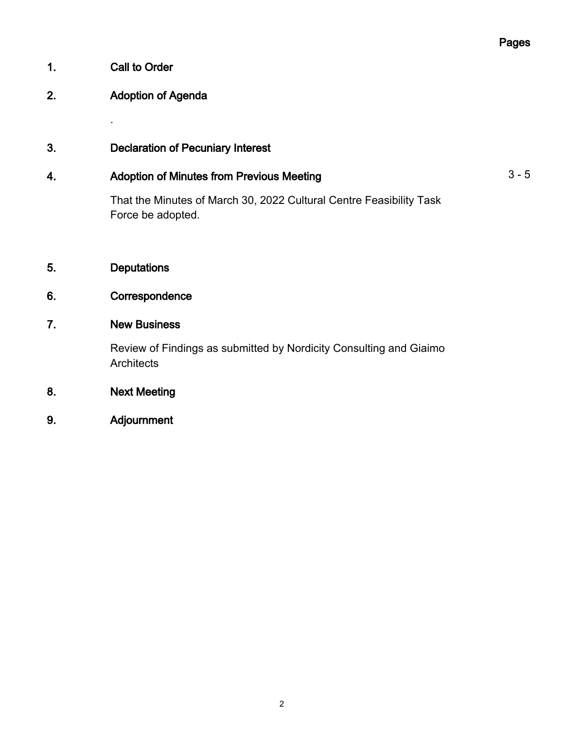#### 1. Call to Order

.

#### 2. Adoption of Agenda

3. Declaration of Pecuniary Interest

#### 4. Adoption of Minutes from Previous Meeting **Accord 2001** 3 - 5

That the Minutes of March 30, 2022 Cultural Centre Feasibility Task Force be adopted.

5. Deputations

#### 6. Correspondence

#### 7. New Business

Review of Findings as submitted by Nordicity Consulting and Giaimo **Architects** 

- 8. Next Meeting
- 9. Adjournment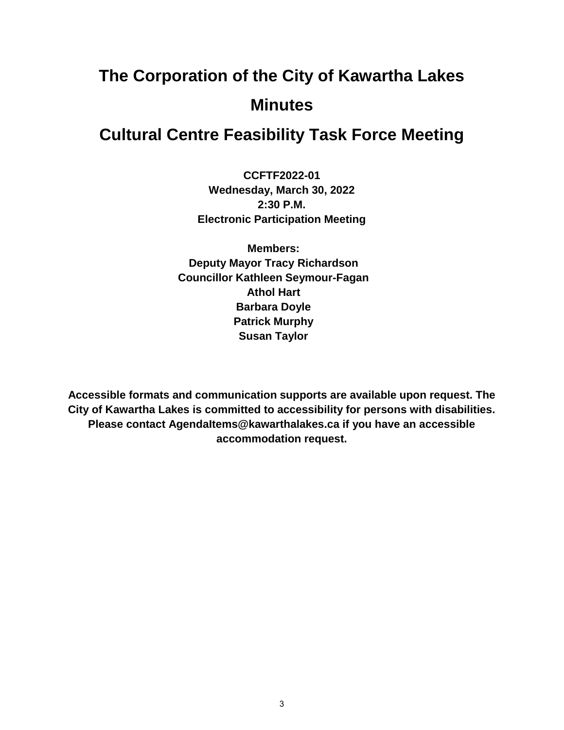# **The Corporation of the City of Kawartha Lakes Minutes**

### **Cultural Centre Feasibility Task Force Meeting**

**CCFTF2022-01 Wednesday, March 30, 2022 2:30 P.M. Electronic Participation Meeting**

**Members: Deputy Mayor Tracy Richardson Councillor Kathleen Seymour-Fagan Athol Hart Barbara Doyle Patrick Murphy Susan Taylor**

**Accessible formats and communication supports are available upon request. The City of Kawartha Lakes is committed to accessibility for persons with disabilities. Please contact AgendaItems@kawarthalakes.ca if you have an accessible accommodation request.**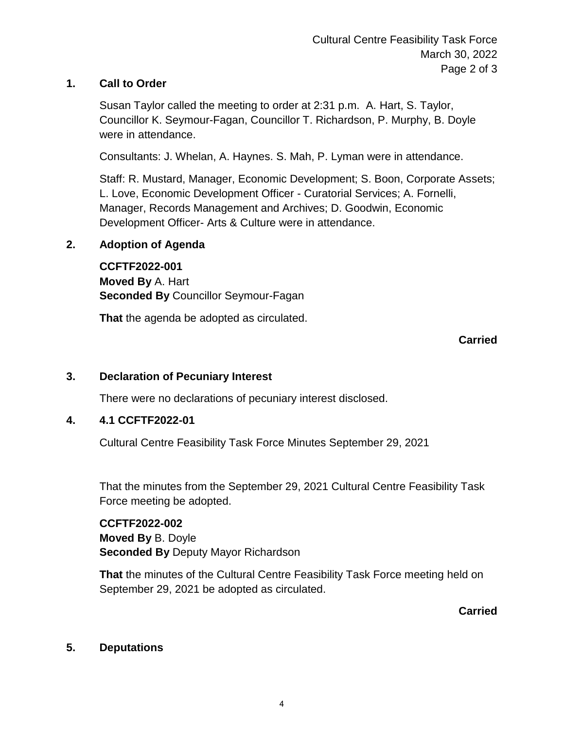#### **1. Call to Order**

Susan Taylor called the meeting to order at 2:31 p.m. A. Hart, S. Taylor, Councillor K. Seymour-Fagan, Councillor T. Richardson, P. Murphy, B. Doyle were in attendance.

Consultants: J. Whelan, A. Haynes. S. Mah, P. Lyman were in attendance.

Staff: R. Mustard, Manager, Economic Development; S. Boon, Corporate Assets; L. Love, Economic Development Officer - Curatorial Services; A. Fornelli, Manager, Records Management and Archives; D. Goodwin, Economic Development Officer- Arts & Culture were in attendance.

#### **2. Adoption of Agenda**

**CCFTF2022-001 Moved By** A. Hart **Seconded By** Councillor Seymour-Fagan

**That** the agenda be adopted as circulated.

#### **Carried**

#### **3. Declaration of Pecuniary Interest**

There were no declarations of pecuniary interest disclosed.

#### **4. 4.1 CCFTF2022-01**

Cultural Centre Feasibility Task Force Minutes September 29, 2021

That the minutes from the September 29, 2021 Cultural Centre Feasibility Task Force meeting be adopted.

#### **CCFTF2022-002**

**Moved By** B. Doyle **Seconded By** Deputy Mayor Richardson

**That** the minutes of the Cultural Centre Feasibility Task Force meeting held on September 29, 2021 be adopted as circulated.

**Carried**

#### **5. Deputations**